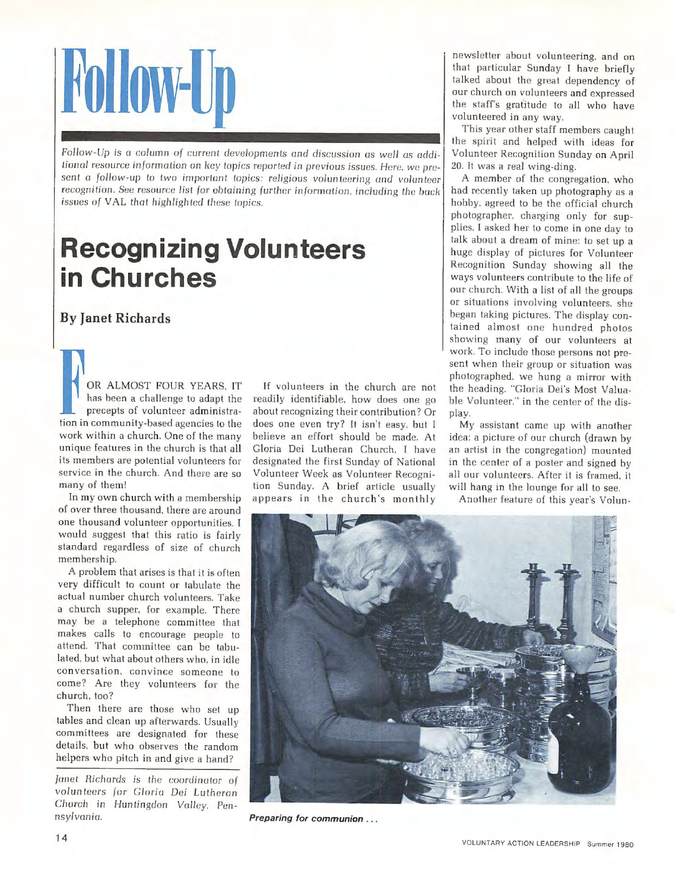## **Follow-Up**

*Follow-Up* is a column *of* current *developments* crnd discussion as *well* os odditional resource information on key topics reported in previous issues. Here, we present a follow-up to two important topics: *religious volunteering and volunteer* recognition. See resource list for obtaining further information, including the back issues of VAL that highlighted these topics.

## **Recognizing Volunteers in Churches**

## **By Janet Richards**

OR ALMOST FOUR YEARS. IT has been a challenge to adapt the precepts of volunteer administration in community-based agencies to the work within a church. One of the many unique features in the church is that all its members are potential volunteers for service in the church. And there are so many of them!

In my own church with a membership of over three thousand. there are around one thousand volunteer opportunities. I would suggest that this ratio is fairly standard regardless of size of church membership.

A problem that arises is that it is often very difficult to count or tabulate the actual number church volunteers. Take a church supper. for example. There may be a telephone committee that makes calls to encourage people to attend. That committee can be tabulated. but what about others who, in idle conversation. convince someone to come? Are they volunteers for the church. too?

Then there are those who set up tables and clean up afterwards. Usually committees are designated for these details, but who observes the random helpers who pitch in and give a hand?

Janet Richards *is the* coordinotor *of*  volunteers for Gloria Dei Lutheran *Church* in Huntingdon *Volley,* Pen*nsylvania.* 

If volunteers in the church are not readily identifiable, how does one go about recognizing their contribution? Or does one even try? It isn't easy. but I believe an effort should be made. At Gloria Dei Lutheran Church. I have designated the first Sunday of National Volunteer Week as Volunteer Recogni*tion* Sunday. A brief article usually appears in the church's monthly

newsletter about volunteering. and on that particular Sunday I have briefly talked about the great dependency of our church on volunteers and expressed the staff's gratitude to all who have volunteered in any way.

This year other staff members caught the spirit and helped with ideas for Volunteer Recognition Sunday on April 20. It was a real wing-ding.

A member of the congregation. who had recently taken up photography as a hobby. agreed to be the official church photographer. charging only for supplies. I asked her to come in one day to talk about a dream of mine: to set up a huge display of pictures for Volunteer Recognition Sunday showing all the ways volunteers contribute to the life of our church. With a list of all the groups or situations involving volunteers. she began taking pictures. The display contained almost one hundred photos showing many of our volunteers at work. To include those persons not present when their group or situation was photographed. we hung a mirror with the heading. "Gloria Dei's Most Valuable Volunteer," in the center of the display.

My assistant came up with another idea: a picture of our church (drawn by an artist in the congregation) mounted in the center of a poster and signed by all our volunteers. After it is framed. it will hang in the lounge for all to see.

Another feature of this year's Volun-



**Preparing for communion** ...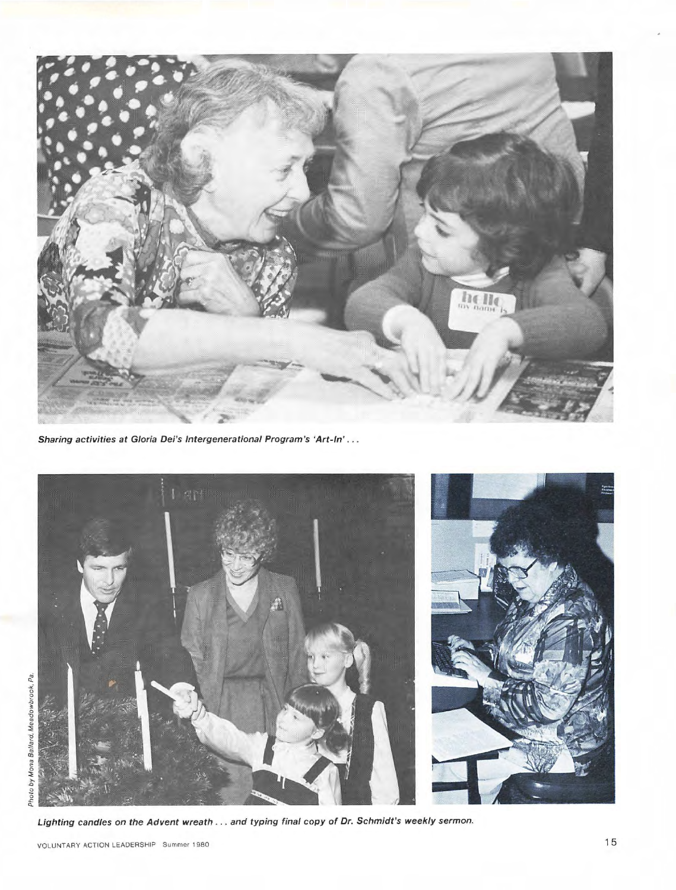

Sharing activities at Gloria Dei's Intergenerational Program's 'Art-In' ...



Lighting candles on the Advent wreath ... and typing final copy of Dr. Schmidt's weekly sermon.

VOLUNTARY ACTION LEADERSHIP Summer 1980 15